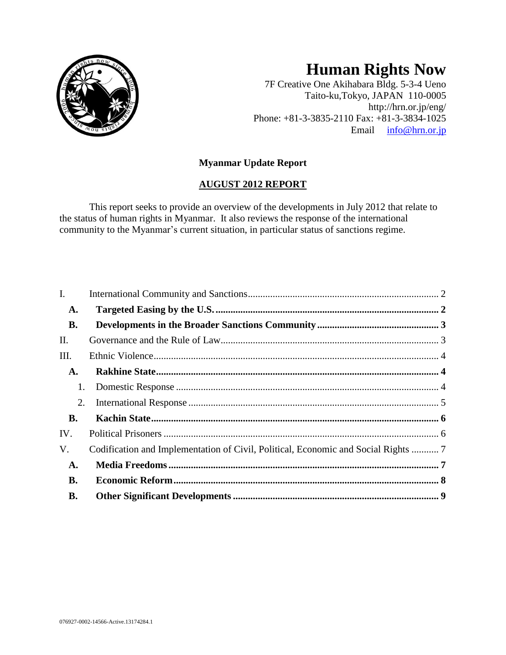

# **Human Rights Now**

7F Creative One Akihabara Bldg. 5-3-4 Ueno Taito-ku,Tokyo, JAPAN 110-0005 http://hrn.or.jp/eng/ Phone: +81-3-3835-2110 Fax: +81-3-3834-1025 Email [info@hrn.or.jp](mailto:info@hrn.or.jp)

# **Myanmar Update Report**

# **AUGUST 2012 REPORT**

This report seeks to provide an overview of the developments in July 2012 that relate to the status of human rights in Myanmar. It also reviews the response of the international community to the Myanmar's current situation, in particular status of sanctions regime.

| I.        |                                                                                    |  |
|-----------|------------------------------------------------------------------------------------|--|
| A.        |                                                                                    |  |
| <b>B.</b> |                                                                                    |  |
| Π.        |                                                                                    |  |
| Ш.        |                                                                                    |  |
| A.        |                                                                                    |  |
| 1.        |                                                                                    |  |
| 2.        |                                                                                    |  |
| <b>B.</b> |                                                                                    |  |
| IV.       |                                                                                    |  |
| V.        | Codification and Implementation of Civil, Political, Economic and Social Rights  7 |  |
| A.        |                                                                                    |  |
| <b>B.</b> |                                                                                    |  |
| В.        |                                                                                    |  |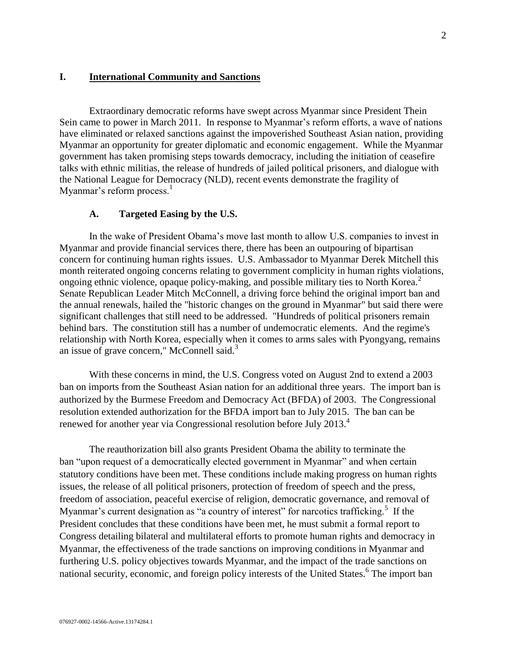## <span id="page-1-0"></span>**I. International Community and Sanctions**

Extraordinary democratic reforms have swept across Myanmar since President Thein Sein came to power in March 2011. In response to Myanmar's reform efforts, a wave of nations have eliminated or relaxed sanctions against the impoverished Southeast Asian nation, providing Myanmar an opportunity for greater diplomatic and economic engagement. While the Myanmar government has taken promising steps towards democracy, including the initiation of ceasefire talks with ethnic militias, the release of hundreds of jailed political prisoners, and dialogue with the National League for Democracy (NLD), recent events demonstrate the fragility of Myanmar's reform process. $<sup>1</sup>$ </sup>

## **A. Targeted Easing by the U.S.**

<span id="page-1-1"></span>In the wake of President Obama's move last month to allow U.S. companies to invest in Myanmar and provide financial services there, there has been an outpouring of bipartisan concern for continuing human rights issues. U.S. Ambassador to Myanmar Derek Mitchell this month reiterated ongoing concerns relating to government complicity in human rights violations, ongoing ethnic violence, opaque policy-making, and possible military ties to North Korea.<sup>2</sup> Senate Republican Leader Mitch McConnell, a driving force behind the original import ban and the annual renewals, hailed the "historic changes on the ground in Myanmar" but said there were significant challenges that still need to be addressed. "Hundreds of political prisoners remain behind bars. The constitution still has a number of undemocratic elements. And the regime's relationship with [North Korea,](http://www.reuters.com/places/north-korea) especially when it comes to arms sales with Pyongyang, remains an issue of grave concern," McConnell said.<sup>3</sup>

With these concerns in mind, the U.S. Congress voted on August 2nd to extend a 2003 ban on imports from the Southeast Asian nation for an additional three years. The import ban is authorized by the Burmese Freedom and Democracy Act (BFDA) of 2003. The Congressional resolution extended authorization for the BFDA import ban to July 2015. The ban can be renewed for another year via Congressional resolution before July 2013.<sup>4</sup>

The reauthorization bill also grants President Obama the ability to terminate the ban "upon request of a democratically elected government in Myanmar" and when certain statutory conditions have been met. These conditions include making progress on human rights issues, the release of all political prisoners, protection of freedom of speech and the press, freedom of association, peaceful exercise of religion, democratic governance, and removal of Myanmar's current designation as "a country of interest" for narcotics trafficking.<sup>5</sup> If the President concludes that these conditions have been met, he must submit a formal report to Congress detailing bilateral and multilateral efforts to promote human rights and democracy in Myanmar, the effectiveness of the trade sanctions on improving conditions in Myanmar and furthering U.S. policy objectives towards Myanmar, and the impact of the trade sanctions on national security, economic, and foreign policy interests of the United States.<sup>6</sup> The import ban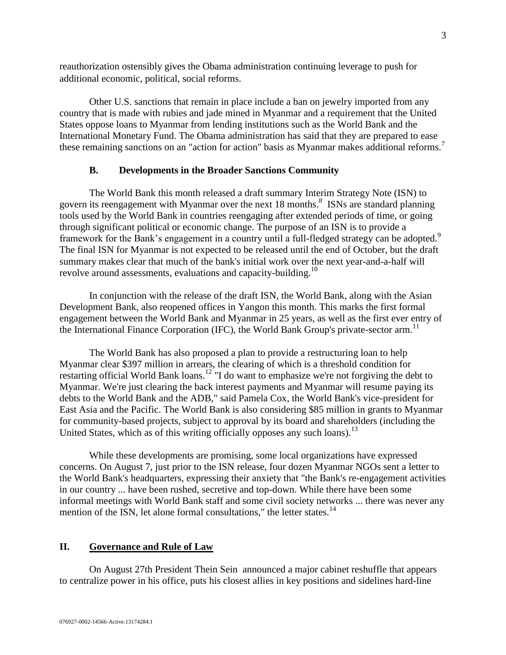reauthorization ostensibly gives the Obama administration continuing leverage to push for additional economic, political, social reforms.

Other U.S. sanctions that remain in place include a ban on jewelry imported from any country that is made with rubies and jade mined in Myanmar and a requirement that the United States oppose loans to Myanmar from lending institutions such as the World Bank and the International Monetary Fund. The Obama administration has said that they are prepared to ease these remaining sanctions on an "action for action" basis as Myanmar makes additional reforms.<sup>7</sup>

## **B. Developments in the Broader Sanctions Community**

<span id="page-2-0"></span>The World Bank this month released a draft summary Interim Strategy Note (ISN) to govern its reengagement with Myanmar over the next 18 months.<sup>8</sup> ISNs are standard planning tools used by the World Bank in countries reengaging after extended periods of time, or going through significant political or economic change. The purpose of an ISN is to provide a framework for the Bank's engagement in a country until a full-fledged strategy can be adopted.<sup>9</sup> The final ISN for Myanmar is not expected to be released until the end of October, but the draft summary makes clear that much of the bank's initial work over the next year-and-a-half will revolve around assessments, evaluations and capacity-building.<sup>10</sup>

In conjunction with the release of the draft ISN, the World Bank, along with the Asian Development Bank, also reopened offices in Yangon this month. This marks the first formal engagement between the World Bank and Myanmar in 25 years, as well as the first ever entry of the International Finance Corporation (IFC), the World Bank Group's private-sector arm.<sup>11</sup>

The World Bank has also proposed a plan to provide a restructuring loan to help Myanmar clear \$397 million in arrears, the clearing of which is a threshold condition for restarting official World Bank loans.<sup>12</sup> "I do want to emphasize we're not forgiving the debt to Myanmar. We're just clearing the back interest payments and Myanmar will resume paying its debts to the World Bank and the ADB," said Pamela Cox, the World Bank's vice-president for East Asia and the Pacific. The World Bank is also considering \$85 million in grants to Myanmar for community-based projects, subject to approval by its board and shareholders (including the United States, which as of this writing officially opposes any such loans).<sup>13</sup>

While these developments are promising, some local organizations have expressed concerns. On August 7, just prior to the ISN release, four dozen Myanmar NGOs sent a letter to the World Bank's headquarters, expressing their anxiety that "the Bank's re-engagement activities in our country ... have been rushed, secretive and top-down. While there have been some informal meetings with World Bank staff and some civil society networks ... there was never any mention of the ISN, let alone formal consultations," the letter states. $^{14}$ 

## <span id="page-2-1"></span>**II. Governance and Rule of Law**

On August 27th President [Thein Sein](http://topics.nytimes.com/top/reference/timestopics/people/t/u_thein_sein/index.html?inline=nyt-per) announced a major cabinet reshuffle that appears to centralize power in his office, puts his closest allies in key positions and sidelines hard-line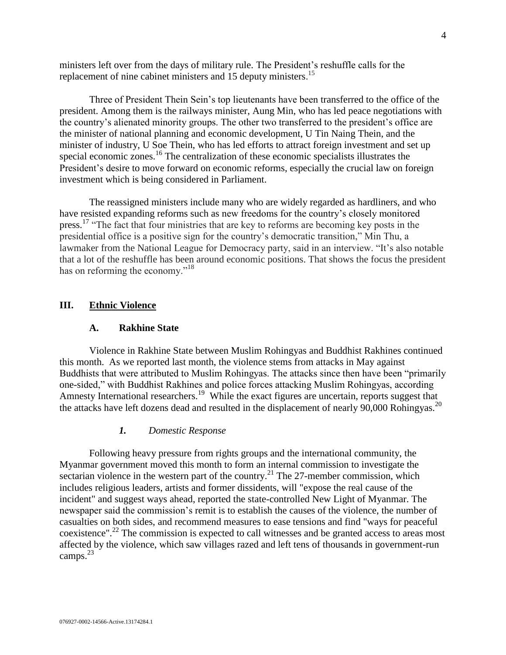ministers left over from the days of military rule. The President's reshuffle calls for the replacement of nine cabinet ministers and 15 deputy ministers.<sup>15</sup>

Three of President Thein Sein's top lieutenants have been transferred to the office of the president. Among them is the railways minister, Aung Min, who has led peace negotiations with the country's alienated minority groups. The other two transferred to the president's office are the minister of national planning and economic development, U Tin Naing Thein, and the minister of industry, U Soe Thein, who has led efforts to attract foreign investment and set up special economic zones.<sup>16</sup> The centralization of these economic specialists illustrates the President's desire to move forward on economic reforms, especially the crucial law on foreign investment which is being considered in Parliament.

The reassigned ministers include many who are widely regarded as hardliners, and who have resisted expanding reforms such as new freedoms for the country's closely monitored press.<sup>17</sup> "The fact that four ministries that are key to reforms are becoming key posts in the presidential office is a positive sign for the country's democratic transition," Min Thu, a lawmaker from the National League for Democracy party, said in an interview. "It's also notable that a lot of the reshuffle has been around economic positions. That shows the focus the president has on reforming the economy."<sup>18</sup>

## <span id="page-3-1"></span><span id="page-3-0"></span>**III. Ethnic Violence**

#### **A. Rakhine State**

Violence in Rakhine State between Muslim Rohingyas and Buddhist Rakhines continued this month. As we reported last month, the violence stems from attacks in May against Buddhists that were attributed to Muslim Rohingyas. The attacks since then have been "primarily one-sided," with Buddhist Rakhines and police forces attacking Muslim Rohingyas, according Amnesty International researchers.<sup>19</sup> While the exact figures are uncertain, reports suggest that the attacks have left dozens dead and resulted in the displacement of nearly  $90,000$  Rohingyas.<sup>20</sup>

#### *1. Domestic Response*

<span id="page-3-2"></span>Following heavy pressure from rights groups and the international community, the Myanmar government moved this month to form an internal commission to investigate the sectarian violence in the western part of the country.<sup>21</sup> The 27-member commission, which includes religious leaders, artists and former dissidents, will "expose the real cause of the incident" and suggest ways ahead, reported the state-controlled New Light of Myanmar. The newspaper said the commission's remit is to establish the causes of the violence, the number of casualties on both sides, and recommend measures to ease tensions and find "ways for peaceful coexistence".<sup>22</sup> The commission is expected to call witnesses and be granted access to areas most affected by the violence, which saw villages razed and left tens of thousands in government-run camps. $^{23}$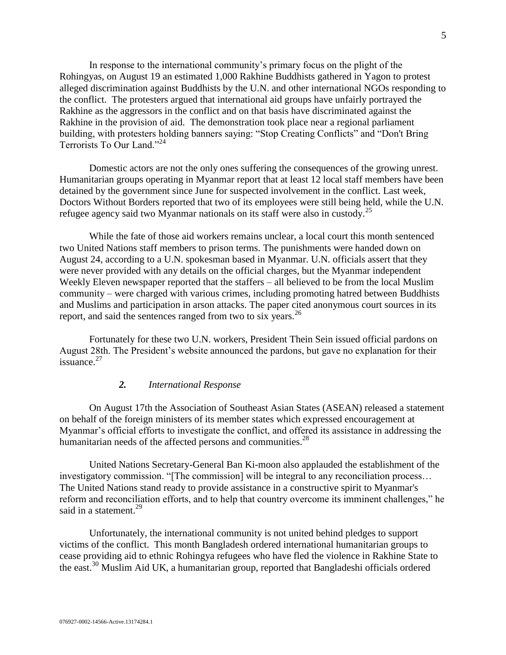In response to the international community's primary focus on the plight of the Rohingyas, on August 19 an estimated 1,000 Rakhine Buddhists gathered in Yagon to protest alleged discrimination against Buddhists by the U.N. and other international NGOs responding to the conflict. The protesters argued that international aid groups have unfairly portrayed the Rakhine as the aggressors in the conflict and on that basis have discriminated against the Rakhine in the provision of aid. The demonstration took place near a regional parliament building, with protesters holding banners saying: "Stop Creating Conflicts" and "Don't Bring Terrorists To Our Land."<sup>24</sup>

Domestic actors are not the only ones suffering the consequences of the growing unrest. Humanitarian groups operating in Myanmar report that at least 12 local staff members have been detained by the government since June for suspected involvement in the conflict. Last week, Doctors Without Borders reported that two of its employees were still being held, while the U.N. refugee agency said two Myanmar nationals on its staff were also in custody.<sup>25</sup>

While the fate of those aid workers remains unclear, a local court this month sentenced two United Nations staff members to [prison](http://topics.sacbee.com/prison+terms/) terms. The punishments were handed down on August 24, according to a U.N. spokesman based in Myanmar. U.N. officials assert that they were never provided with any details on the official charges, but the Myanmar independent Weekly Eleven newspaper reported that the staffers – all believed to be from the local Muslim [community](http://topics.sacbee.com/Muslim+community/) – were charged with various crimes, including promoting hatred between Buddhists and Muslims and participation in arson attacks. The paper cited anonymous court sources in its report, and said the sentences ranged from two to six years.<sup>26</sup>

Fortunately for these two U.N. workers, President Thein Sein issued official pardons on August 28th. The President's website announced the pardons, but gave no explanation for their issuance. $27$ 

## *2. International Response*

<span id="page-4-0"></span>On August 17th the Association of Southeast Asian States (ASEAN) released a statement on behalf of the foreign ministers of its member states which expressed encouragement at Myanmar's official efforts to investigate the conflict, and offered its assistance in addressing the humanitarian needs of the affected persons and communities.<sup>28</sup>

United Nations Secretary-General Ban Ki-moon also applauded the establishment of the investigatory commission. "[The commission] will be integral to any reconciliation process… The United Nations stand ready to provide assistance in a constructive spirit to Myanmar's reform and reconciliation efforts, and to help that country overcome its imminent challenges," he said in a statement. $^{29}$ 

Unfortunately, the international community is not united behind pledges to support victims of the conflict. This month Bangladesh ordered international humanitarian groups to cease providing aid to ethnic Rohingya refugees who have fled the violence in Rakhine State to the east.<sup>30</sup> Muslim Aid UK, a humanitarian group, reported that Bangladeshi officials ordered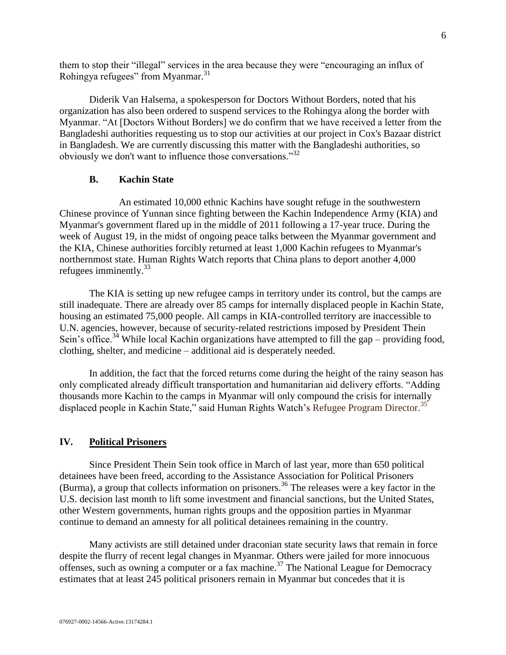them to stop their "illegal" services in the area because they were "encouraging an influx of Rohingya refugees" from Myanmar.<sup>31</sup>

Diderik Van Halsema, a spokesperson for Doctors Without Borders, noted that his organization has also been ordered to suspend services to the Rohingya along the border with Myanmar. "At [Doctors Without Borders] we do confirm that we have received a letter from the Bangladeshi authorities requesting us to stop our activities at our project in Cox's Bazaar district in Bangladesh. We are currently discussing this matter with the Bangladeshi authorities, so obviously we don't want to influence those conversations."<sup>32</sup>

#### **B. Kachin State**

<span id="page-5-0"></span>An estimated 10,000 ethnic Kachins have sought refuge in the southwestern Chinese province of Yunnan since fighting between the Kachin Independence Army (KIA) and Myanmar's government flared up in the middle of 2011 following a 17-year truce. During the week of August 19, in the midst of ongoing peace talks between the Myanmar government and the KIA, Chinese authorities forcibly returned at least 1,000 Kachin refugees to Myanmar's northernmost state. Human Rights Watch reports that China plans to deport another 4,000 refugees imminently. $33$ 

The KIA is setting up new refugee camps in territory under its control, but the camps are still inadequate. There are already over 85 camps for internally displaced people in Kachin State, housing an estimated 75,000 people. All camps in KIA-controlled territory are inaccessible to U.N. agencies, however, because of security-related [restrictions](http://www.hrw.org/news/2011/12/21/burma-ensure-aid-access-kachin-state) imposed by President Thein Sein's office.<sup>34</sup> While local Kachin organizations have attempted to fill the gap – providing food, clothing, shelter, and medicine – additional aid is desperately needed.

In addition, the fact that the forced returns come during the height of the rainy season has only complicated already difficult transportation and humanitarian aid delivery efforts. "Adding thousands more Kachin to the camps in Myanmar will only compound the crisis for internally displaced people in Kachin State," said Human Rights Watch's Refugee Program Director.<sup>35</sup>

## <span id="page-5-1"></span>**IV. Political Prisoners**

Since [President Thein Sein](http://www.washingtonpost.com/opinions/burma-president-thein-sein-country-is-on-right-track-to-democracy/2012/01/19/gIQANeM5BQ_story.html) took office in March of last year, more than 650 political detainees have been freed, according to the Assistance Association for Political Prisoners (Burma), a group that collects information on prisoners.<sup>36</sup> The releases were a key factor in the U.S. decision last month to lift some [investment and financial sanctions,](http://www.state.gov/r/pa/prs/ps/2012/07/194868.htm) but the United States, other Western governments, human rights groups and the opposition parties in Myanmar continue to demand an amnesty for all political detainees remaining in the country.

Many activists are still detained under draconian state security laws that remain in force despite the flurry of recent legal changes in Myanmar. Others were jailed for more innocuous offenses, such as owning a computer or a fax machine.<sup>37</sup> The National League for Democracy estimates that at least 245 political prisoners remain in Myanmar but concedes that it is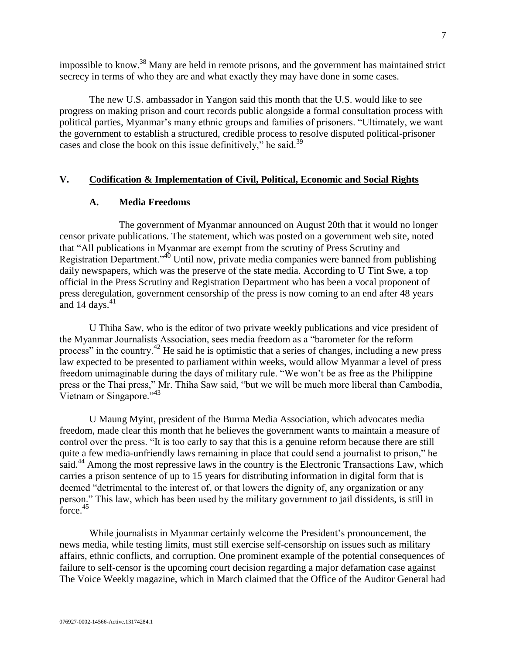impossible to know.<sup>38</sup> Many are held in remote prisons, and the government has maintained strict secrecy in terms of who they are and what exactly they may have done in some cases.

[The new U.S. ambassador in Yangon](http://www.washingtonpost.com/blogs/in-the-loop/post/derek-mitchell-picked-for-ambassador-to-burma/2012/05/17/gIQAr99XWU_blog.html) said this month that the U.S. would like to see progress on making prison and court records public alongside a formal consultation process with political parties, Myanmar's many ethnic groups and families of prisoners. "Ultimately, we want the government to establish a structured, credible process to resolve disputed political-prisoner cases and close the book on this issue definitively," he said.<sup>39</sup>

## <span id="page-6-1"></span><span id="page-6-0"></span>**V. Codification & Implementation of Civil, Political, Economic and Social Rights**

## **A. Media Freedoms**

The government of [Myanmar](http://topics.nytimes.com/top/news/international/countriesandterritories/myanmar/index.html?inline=nyt-geo) announced on August 20th that it would no longer censor private publications. The statement, which was posted on a government web site, noted that "All publications in Myanmar are exempt from the scrutiny of Press Scrutiny and Registration Department."<sup>40</sup> Until now, private media companies were banned from publishing daily newspapers, which was the preserve of the state media. According to U Tint Swe, a top official in the Press Scrutiny and Registration Department who has been a vocal proponent of press deregulation, government censorship of the press is now coming to an end after 48 years and 14 days. $41$ 

U Thiha Saw, who is the editor of two private weekly publications and vice president of the Myanmar Journalists Association, sees media freedom as a "barometer for the reform process" in the country.<sup>42</sup> He said he is optimistic that a series of changes, including a new press law expected to be presented to parliament within weeks, would allow Myanmar a level of press freedom unimaginable during the days of military rule. "We won't be as free as the Philippine press or the Thai press," Mr. Thiha Saw said, "but we will be much more liberal than Cambodia, Vietnam or Singapore."<sup>43</sup>

U Maung Myint, president of the [Burma Media Association,](http://bma.co.cc/) which advocates media freedom, made clear this month that he believes the government wants to maintain a measure of control over the press. "It is too early to say that this is a genuine reform because there are still quite a few media-unfriendly laws remaining in place that could send a journalist to prison," he said.<sup>44</sup> Among the most repressive laws in the country is the Electronic Transactions Law, which carries a prison sentence of up to 15 years for distributing information in digital form that is deemed "detrimental to the interest of, or that lowers the dignity of, any organization or any person." This law, which has been used by the military government to jail dissidents, is still in force.<sup>45</sup>

While journalists in Myanmar certainly welcome the President's pronouncement, the news media, while testing limits, must still exercise self-censorship on issues such as military affairs, ethnic conflicts, and corruption. One prominent example of the potential consequences of failure to self-censor is the upcoming court decision regarding a major defamation case against The Voice Weekly magazine, which in March claimed that the Office of the Auditor General had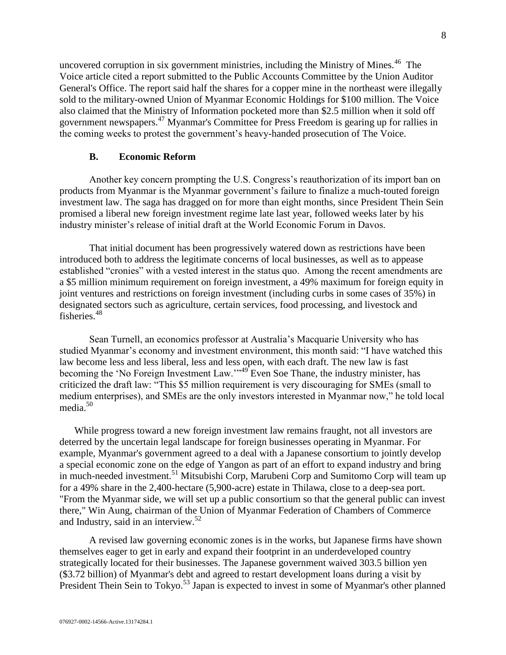uncovered corruption in six government ministries, including the Ministry of Mines.<sup>46</sup> The Voice article cited a report submitted to the Public Accounts Committee by the Union Auditor General's Office. The report said half the shares for a copper mine in the northeast were illegally sold to the military-owned Union of Myanmar Economic Holdings for \$100 million. The Voice also claimed that the Ministry of Information pocketed more than \$2.5 million when it sold off government newspapers.<sup>47</sup> Myanmar's Committee for Press Freedom is gearing up for rallies in the coming weeks to protest the government's heavy-handed prosecution of The Voice.

## **B. Economic Reform**

<span id="page-7-0"></span>Another key concern prompting the U.S. Congress's reauthorization of its import ban on products from Myanmar is the Myanmar government's failure to finalize a much-touted foreign investment law. The saga has dragged on for more than eight months, since President Thein Sein promised a liberal new foreign investment regime late last year, followed weeks later by his industry minister's release of initial draft at the World Economic Forum in Davos.

That initial document has been progressively watered down as restrictions have been introduced both to address the legitimate concerns of local businesses, as well as to appease established "cronies" with a vested interest in the status quo. Among the recent amendments are a \$5 million minimum requirement on foreign investment, a 49% maximum for foreign equity in joint ventures and restrictions on foreign investment (including curbs in some cases of 35%) in designated sectors such as agriculture, certain services, food processing, and livestock and fisheries.<sup>48</sup>

Sean Turnell, an economics professor at Australia's Macquarie University who has studied Myanmar's economy and investment environment, this month said: "I have watched this law become less and less liberal, less and less open, with each draft. The new law is fast becoming the 'No Foreign Investment Law."<sup>49</sup> Even Soe Thane, the industry minister, has criticized the draft law: "This \$5 million requirement is very discouraging for SMEs (small to medium enterprises), and SMEs are the only investors interested in Myanmar now," he told local media.<sup>50</sup>

While progress toward a new foreign investment law remains fraught, not all investors are deterred by the uncertain legal landscape for foreign businesses operating in Myanmar. For example, Myanmar's government agreed to a deal with a Japanese consortium to jointly develop a special economic zone on the edge of Yangon as part of an effort to expand industry and bring in much-needed investment.<sup>51</sup> Mitsubishi Corp, Marubeni Corp and Sumitomo Corp will team up for a 49% share in the 2,400-hectare (5,900-acre) estate in Thilawa, close to a deep-sea port. "From the Myanmar side, we will set up a public consortium so that the general public can invest there," Win Aung, chairman of the Union of Myanmar Federation of Chambers of Commerce and Industry, said in an interview. $52$ 

A revised law governing economic zones is in the works, but Japanese firms have shown themselves eager to get in early and expand their footprint in an underdeveloped country strategically located for their businesses. The Japanese government waived 303.5 billion yen (\$3.72 billion) of Myanmar's debt and agreed to restart development loans during a visit by President Thein Sein to Tokyo.<sup>53</sup> Japan is expected to invest in some of Myanmar's other planned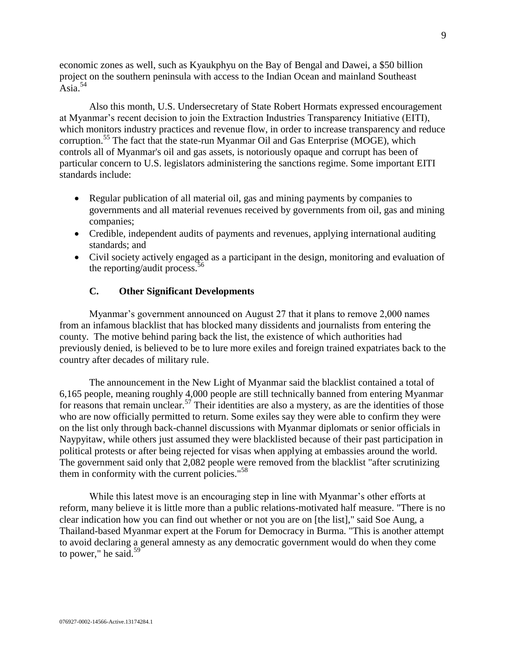economic zones as well, such as Kyaukphyu on the Bay of Bengal and Dawei, a \$50 billion project on the southern peninsula with access to the Indian Ocean and mainland Southeast Asia. $54$ 

Also this month, U.S. Undersecretary of State Robert Hormats expressed encouragement at Myanmar's recent decision to join the Extraction Industries Transparency Initiative (EITI), which monitors industry practices and revenue flow, in order to increase transparency and reduce corruption.<sup>55</sup> The fact that the state-run Myanmar Oil and Gas Enterprise (MOGE), which controls all of Myanmar's oil and gas assets, is notoriously [opaque](http://rendezvous.blogs.nytimes.com/2012/07/12/rights-groups-assail-u-s-decision-on-myanmar/) and corrupt has been of particular concern to U.S. legislators administering the sanctions regime. Some important EITI standards include:

- Regular publication of all material oil, gas and mining payments by companies to governments and all material revenues received by governments from oil, gas and mining companies;
- Credible, independent audits of payments and revenues, applying international auditing standards; and
- Civil society actively engaged as a participant in the design, monitoring and evaluation of the reporting/audit process.  $56$

## **C. Other Significant Developments**

Myanmar's government announced on August 27 that it plans to remove 2,000 names from an infamous blacklist that has blocked many dissidents and journalists from entering the county. The motive behind paring back the list, the existence of which authorities had previously denied, is believed to be to lure more exiles and foreign trained expatriates back to the country after decades of military rule.

The announcement in the New Light of Myanmar said the blacklist contained a total of 6,165 people, meaning roughly 4,000 people are still technically banned from entering Myanmar for reasons that remain unclear.<sup>57</sup> Their identities are also a mystery, as are the identities of those who are now officially permitted to return. Some exiles say they were able to confirm they were on the list only through back-channel discussions with Myanmar diplomats or senior officials in Naypyitaw, while others just assumed they were blacklisted because of their past participation in political protests or after being rejected for visas when applying at embassies around the world. The government said only that 2,082 people were removed from the blacklist "after scrutinizing them in conformity with the current policies."<sup>58</sup>

While this latest move is an encouraging step in line with Myanmar's other efforts at reform, many believe it is little more than a public relations-motivated half measure. "There is no clear indication how you can find out whether or not you are on [the list]," said Soe Aung, a Thailand-based Myanmar expert at the Forum for Democracy in Burma. "This is another attempt to avoid declaring a general amnesty as any democratic government would do when they come to power," he said. $59$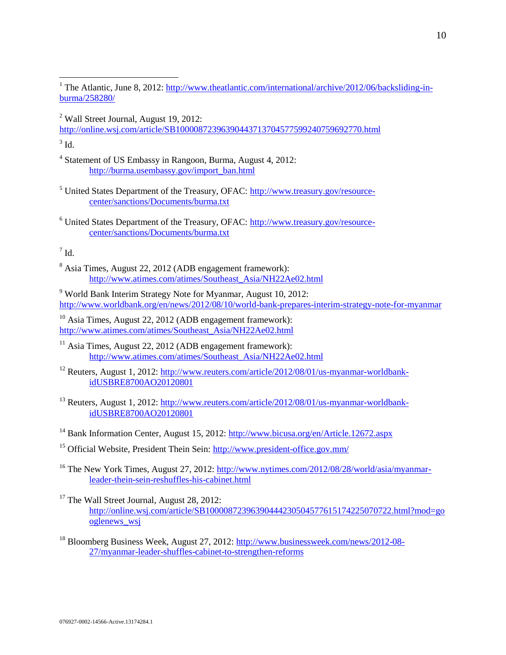<sup>2</sup> Wall Street Journal, August 19, 2012:

<http://online.wsj.com/article/SB10000872396390443713704577599240759692770.html>

 $3$  Id.

 $\overline{a}$ 

- 4 Statement of US Embassy in Rangoon, Burma, August 4, 2012: [http://burma.usembassy.gov/import\\_ban.html](http://burma.usembassy.gov/import_ban.html)
- <sup>5</sup> United States Department of the Treasury, OFAC: [http://www.treasury.gov/resource](http://www.treasury.gov/resource-center/sanctions/Documents/burma.txt)[center/sanctions/Documents/burma.txt](http://www.treasury.gov/resource-center/sanctions/Documents/burma.txt)
- <sup>6</sup> United States Department of the Treasury, OFAC: [http://www.treasury.gov/resource](http://www.treasury.gov/resource-center/sanctions/Documents/burma.txt)[center/sanctions/Documents/burma.txt](http://www.treasury.gov/resource-center/sanctions/Documents/burma.txt)

 $^7$  Id.

<sup>8</sup> Asia Times, August 22, 2012 (ADB engagement framework): [http://www.atimes.com/atimes/Southeast\\_Asia/NH22Ae02.html](http://www.atimes.com/atimes/Southeast_Asia/NH22Ae02.html)

<sup>9</sup> World Bank Interim Strategy Note for Myanmar, August 10, 2012: <http://www.worldbank.org/en/news/2012/08/10/world-bank-prepares-interim-strategy-note-for-myanmar>

<sup>10</sup> Asia Times, August 22, 2012 (ADB engagement framework): [http://www.atimes.com/atimes/Southeast\\_Asia/NH22Ae02.html](http://www.atimes.com/atimes/Southeast_Asia/NH22Ae02.html)

<sup>11</sup> Asia Times, August 22, 2012 (ADB engagement framework): [http://www.atimes.com/atimes/Southeast\\_Asia/NH22Ae02.html](http://www.atimes.com/atimes/Southeast_Asia/NH22Ae02.html)

<sup>12</sup> Reuters, August 1, 2012: [http://www.reuters.com/article/2012/08/01/us-myanmar-worldbank](http://www.reuters.com/article/2012/08/01/us-myanmar-worldbank-idUSBRE8700AO20120801)[idUSBRE8700AO20120801](http://www.reuters.com/article/2012/08/01/us-myanmar-worldbank-idUSBRE8700AO20120801)

<sup>13</sup> Reuters, August 1, 2012: [http://www.reuters.com/article/2012/08/01/us-myanmar-worldbank](http://www.reuters.com/article/2012/08/01/us-myanmar-worldbank-idUSBRE8700AO20120801)[idUSBRE8700AO20120801](http://www.reuters.com/article/2012/08/01/us-myanmar-worldbank-idUSBRE8700AO20120801)

<sup>15</sup> Official Website, President Thein Sein:<http://www.president-office.gov.mm/>

<sup>16</sup> The New York Times, August 27, 2012: [http://www.nytimes.com/2012/08/28/world/asia/myanmar](http://www.nytimes.com/2012/08/28/world/asia/myanmar-leader-thein-sein-reshuffles-his-cabinet.html)[leader-thein-sein-reshuffles-his-cabinet.html](http://www.nytimes.com/2012/08/28/world/asia/myanmar-leader-thein-sein-reshuffles-his-cabinet.html)

<sup>17</sup> The Wall Street Journal, August 28, 2012: [http://online.wsj.com/article/SB10000872396390444230504577615174225070722.html?mod=go](http://online.wsj.com/article/SB10000872396390444230504577615174225070722.html?mod=googlenews_wsj) [oglenews\\_wsj](http://online.wsj.com/article/SB10000872396390444230504577615174225070722.html?mod=googlenews_wsj)

<sup>18</sup> Bloomberg Business Week, August 27, 2012: [http://www.businessweek.com/news/2012-08-](http://www.businessweek.com/news/2012-08-27/myanmar-leader-shuffles-cabinet-to-strengthen-reforms) [27/myanmar-leader-shuffles-cabinet-to-strengthen-reforms](http://www.businessweek.com/news/2012-08-27/myanmar-leader-shuffles-cabinet-to-strengthen-reforms)

<sup>&</sup>lt;sup>1</sup> The Atlantic, June 8, 2012[: http://www.theatlantic.com/international/archive/2012/06/backsliding-in](http://www.theatlantic.com/international/archive/2012/06/backsliding-in-burma/258280/)[burma/258280/](http://www.theatlantic.com/international/archive/2012/06/backsliding-in-burma/258280/)

<sup>&</sup>lt;sup>14</sup> Bank Information Center, August 15, 2012:<http://www.bicusa.org/en/Article.12672.aspx>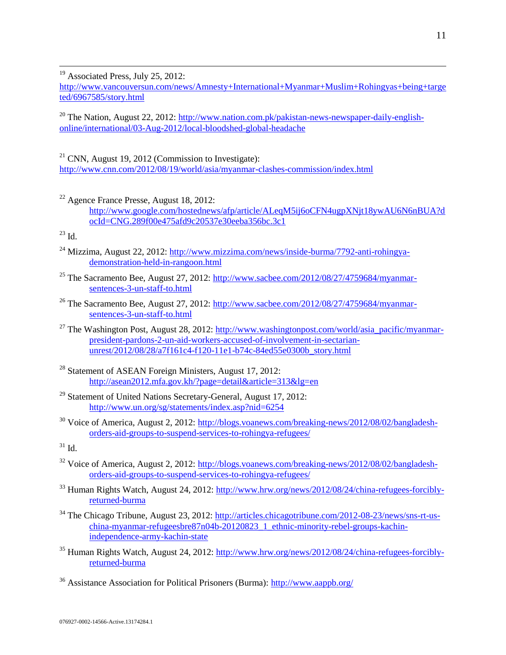<sup>19</sup> Associated Press, July 25, 2012:

http://www.vancouversun.com/news/Amnesty+International+Myanmar+Muslim+Rohingyas+being+targe ted/6967585/story.html

<sup>20</sup> The Nation, August 22, 2012: [http://www.nation.com.pk/pakistan-news-newspaper-daily-english](http://www.nation.com.pk/pakistan-news-newspaper-daily-english-online/international/03-Aug-2012/local-bloodshed-global-headache)[online/international/03-Aug-2012/local-bloodshed-global-headache](http://www.nation.com.pk/pakistan-news-newspaper-daily-english-online/international/03-Aug-2012/local-bloodshed-global-headache)

 $21$  CNN, August 19, 2012 (Commission to Investigate): <http://www.cnn.com/2012/08/19/world/asia/myanmar-clashes-commission/index.html>

 $22$  Agence France Presse, August 18, 2012: [http://www.google.com/hostednews/afp/article/ALeqM5ij6oCFN4ugpXNjt18ywAU6N6nBUA?d](http://www.google.com/hostednews/afp/article/ALeqM5ij6oCFN4ugpXNjt18ywAU6N6nBUA?docId=CNG.289f00e475afd9c20537e30eeba356bc.3c1) [ocId=CNG.289f00e475afd9c20537e30eeba356bc.3c1](http://www.google.com/hostednews/afp/article/ALeqM5ij6oCFN4ugpXNjt18ywAU6N6nBUA?docId=CNG.289f00e475afd9c20537e30eeba356bc.3c1)

 $^{23}$  Id.

 $\overline{a}$ 

- $^{24}$  Mizzima, August 22, 2012: [http://www.mizzima.com/news/inside-burma/7792-anti-rohingya](http://www.mizzima.com/news/inside-burma/7792-anti-rohingya-demonstration-held-in-rangoon.html)[demonstration-held-in-rangoon.html](http://www.mizzima.com/news/inside-burma/7792-anti-rohingya-demonstration-held-in-rangoon.html)
- <sup>25</sup> The Sacramento Bee, August 27, 2012: [http://www.sacbee.com/2012/08/27/4759684/myanmar](http://www.sacbee.com/2012/08/27/4759684/myanmar-sentences-3-un-staff-to.html)[sentences-3-un-staff-to.html](http://www.sacbee.com/2012/08/27/4759684/myanmar-sentences-3-un-staff-to.html)
- <sup>26</sup> The Sacramento Bee, August 27, 2012: [http://www.sacbee.com/2012/08/27/4759684/myanmar](http://www.sacbee.com/2012/08/27/4759684/myanmar-sentences-3-un-staff-to.html)[sentences-3-un-staff-to.html](http://www.sacbee.com/2012/08/27/4759684/myanmar-sentences-3-un-staff-to.html)
- <sup>27</sup> The Washington Post, August 28, 2012: [http://www.washingtonpost.com/world/asia\\_pacific/myanmar](http://www.washingtonpost.com/world/asia_pacific/myanmar-president-pardons-2-un-aid-workers-accused-of-involvement-in-sectarian-unrest/2012/08/28/a7f161c4-f120-11e1-b74c-84ed55e0300b_story.html)[president-pardons-2-un-aid-workers-accused-of-involvement-in-sectarian](http://www.washingtonpost.com/world/asia_pacific/myanmar-president-pardons-2-un-aid-workers-accused-of-involvement-in-sectarian-unrest/2012/08/28/a7f161c4-f120-11e1-b74c-84ed55e0300b_story.html)[unrest/2012/08/28/a7f161c4-f120-11e1-b74c-84ed55e0300b\\_story.html](http://www.washingtonpost.com/world/asia_pacific/myanmar-president-pardons-2-un-aid-workers-accused-of-involvement-in-sectarian-unrest/2012/08/28/a7f161c4-f120-11e1-b74c-84ed55e0300b_story.html)
- <sup>28</sup> Statement of ASEAN Foreign Ministers, August 17, 2012: <http://asean2012.mfa.gov.kh/?page=detail&article=313&lg=en>
- <sup>29</sup> Statement of United Nations Secretary-General, August 17, 2012: <http://www.un.org/sg/statements/index.asp?nid=6254>
- <sup>30</sup> Voice of America, August 2, 2012: [http://blogs.voanews.com/breaking-news/2012/08/02/bangladesh](http://blogs.voanews.com/breaking-news/2012/08/02/bangladesh-orders-aid-groups-to-suspend-services-to-rohingya-refugees/)[orders-aid-groups-to-suspend-services-to-rohingya-refugees/](http://blogs.voanews.com/breaking-news/2012/08/02/bangladesh-orders-aid-groups-to-suspend-services-to-rohingya-refugees/)

 $31$  Id.

- <sup>32</sup> Voice of America, August 2, 2012: [http://blogs.voanews.com/breaking-news/2012/08/02/bangladesh](http://blogs.voanews.com/breaking-news/2012/08/02/bangladesh-orders-aid-groups-to-suspend-services-to-rohingya-refugees/)[orders-aid-groups-to-suspend-services-to-rohingya-refugees/](http://blogs.voanews.com/breaking-news/2012/08/02/bangladesh-orders-aid-groups-to-suspend-services-to-rohingya-refugees/)
- <sup>33</sup> Human Rights Watch, August 24, 2012: [http://www.hrw.org/news/2012/08/24/china-refugees-forcibly](http://www.hrw.org/news/2012/08/24/china-refugees-forcibly-returned-burma)[returned-burma](http://www.hrw.org/news/2012/08/24/china-refugees-forcibly-returned-burma)
- <sup>34</sup> The Chicago Tribune, August 23, 2012: [http://articles.chicagotribune.com/2012-08-23/news/sns-rt-us](http://articles.chicagotribune.com/2012-08-23/news/sns-rt-us-china-myanmar-refugeesbre87n04b-20120823_1_ethnic-minority-rebel-groups-kachin-independence-army-kachin-state)[china-myanmar-refugeesbre87n04b-20120823\\_1\\_ethnic-minority-rebel-groups-kachin](http://articles.chicagotribune.com/2012-08-23/news/sns-rt-us-china-myanmar-refugeesbre87n04b-20120823_1_ethnic-minority-rebel-groups-kachin-independence-army-kachin-state)[independence-army-kachin-state](http://articles.chicagotribune.com/2012-08-23/news/sns-rt-us-china-myanmar-refugeesbre87n04b-20120823_1_ethnic-minority-rebel-groups-kachin-independence-army-kachin-state)
- <sup>35</sup> Human Rights Watch, August 24, 2012: [http://www.hrw.org/news/2012/08/24/china-refugees-forcibly](http://www.hrw.org/news/2012/08/24/china-refugees-forcibly-returned-burma)[returned-burma](http://www.hrw.org/news/2012/08/24/china-refugees-forcibly-returned-burma)
- <sup>36</sup> Assistance Association for Political Prisoners (Burma):<http://www.aappb.org/>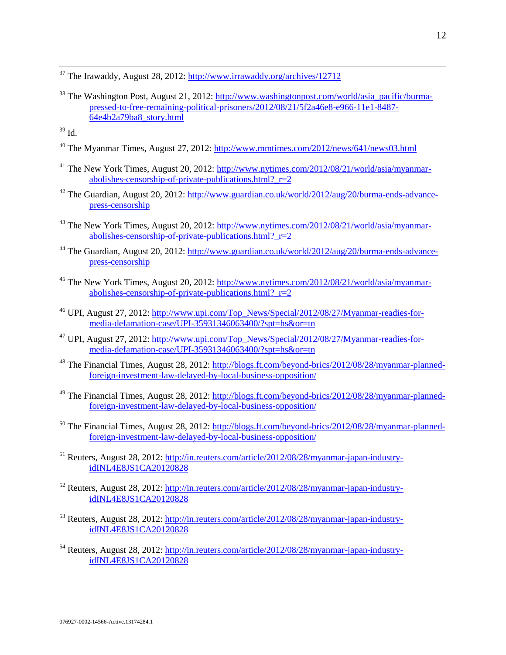<sup>37</sup> The Irawaddy, August 28, 2012:<http://www.irrawaddy.org/archives/12712>

<sup>38</sup> The Washington Post, August 21, 2012: [http://www.washingtonpost.com/world/asia\\_pacific/burma](http://www.washingtonpost.com/world/asia_pacific/burma-pressed-to-free-remaining-political-prisoners/2012/08/21/5f2a46e8-e966-11e1-8487-64e4b2a79ba8_story.html)[pressed-to-free-remaining-political-prisoners/2012/08/21/5f2a46e8-e966-11e1-8487-](http://www.washingtonpost.com/world/asia_pacific/burma-pressed-to-free-remaining-political-prisoners/2012/08/21/5f2a46e8-e966-11e1-8487-64e4b2a79ba8_story.html) [64e4b2a79ba8\\_story.html](http://www.washingtonpost.com/world/asia_pacific/burma-pressed-to-free-remaining-political-prisoners/2012/08/21/5f2a46e8-e966-11e1-8487-64e4b2a79ba8_story.html)

 $\overline{a}$ 

- <sup>40</sup> The Myanmar Times, August 27, 2012:<http://www.mmtimes.com/2012/news/641/news03.html>
- <sup>41</sup> The New York Times, August 20, 2012: [http://www.nytimes.com/2012/08/21/world/asia/myanmar](http://www.nytimes.com/2012/08/21/world/asia/myanmar-abolishes-censorship-of-private-publications.html?_r=2)abolishes-censorship-of-private-publications.html?  $r=2$
- $42$  The Guardian, August 20, 2012: [http://www.guardian.co.uk/world/2012/aug/20/burma-ends-advance](http://www.guardian.co.uk/world/2012/aug/20/burma-ends-advance-press-censorship)[press-censorship](http://www.guardian.co.uk/world/2012/aug/20/burma-ends-advance-press-censorship)
- <sup>43</sup> The New York Times, August 20, 2012: [http://www.nytimes.com/2012/08/21/world/asia/myanmar](http://www.nytimes.com/2012/08/21/world/asia/myanmar-abolishes-censorship-of-private-publications.html?_r=2)abolishes-censorship-of-private-publications.html?  $r=2$
- <sup>44</sup> The Guardian, August 20, 2012: [http://www.guardian.co.uk/world/2012/aug/20/burma-ends-advance](http://www.guardian.co.uk/world/2012/aug/20/burma-ends-advance-press-censorship)[press-censorship](http://www.guardian.co.uk/world/2012/aug/20/burma-ends-advance-press-censorship)
- <sup>45</sup> The New York Times, August 20, 2012: [http://www.nytimes.com/2012/08/21/world/asia/myanmar](http://www.nytimes.com/2012/08/21/world/asia/myanmar-abolishes-censorship-of-private-publications.html?_r=2)abolishes-censorship-of-private-publications.html?  $r=2$
- <sup>46</sup> UPI, August 27, 2012: [http://www.upi.com/Top\\_News/Special/2012/08/27/Myanmar-readies-for](http://www.upi.com/Top_News/Special/2012/08/27/Myanmar-readies-for-media-defamation-case/UPI-35931346063400/?spt=hs&or=tn)[media-defamation-case/UPI-35931346063400/?spt=hs&or=tn](http://www.upi.com/Top_News/Special/2012/08/27/Myanmar-readies-for-media-defamation-case/UPI-35931346063400/?spt=hs&or=tn)
- <sup>47</sup> UPI, August 27, 2012: [http://www.upi.com/Top\\_News/Special/2012/08/27/Myanmar-readies-for](http://www.upi.com/Top_News/Special/2012/08/27/Myanmar-readies-for-media-defamation-case/UPI-35931346063400/?spt=hs&or=tn)[media-defamation-case/UPI-35931346063400/?spt=hs&or=tn](http://www.upi.com/Top_News/Special/2012/08/27/Myanmar-readies-for-media-defamation-case/UPI-35931346063400/?spt=hs&or=tn)
- <sup>48</sup> The Financial Times, August 28, 2012: [http://blogs.ft.com/beyond-brics/2012/08/28/myanmar-planned](http://blogs.ft.com/beyond-brics/2012/08/28/myanmar-planned-foreign-investment-law-delayed-by-local-business-opposition/)[foreign-investment-law-delayed-by-local-business-opposition/](http://blogs.ft.com/beyond-brics/2012/08/28/myanmar-planned-foreign-investment-law-delayed-by-local-business-opposition/)
- <sup>49</sup> The Financial Times, August 28, 2012: [http://blogs.ft.com/beyond-brics/2012/08/28/myanmar-planned](http://blogs.ft.com/beyond-brics/2012/08/28/myanmar-planned-foreign-investment-law-delayed-by-local-business-opposition/)[foreign-investment-law-delayed-by-local-business-opposition/](http://blogs.ft.com/beyond-brics/2012/08/28/myanmar-planned-foreign-investment-law-delayed-by-local-business-opposition/)
- <sup>50</sup> The Financial Times, August 28, 2012: [http://blogs.ft.com/beyond-brics/2012/08/28/myanmar-planned](http://blogs.ft.com/beyond-brics/2012/08/28/myanmar-planned-foreign-investment-law-delayed-by-local-business-opposition/)[foreign-investment-law-delayed-by-local-business-opposition/](http://blogs.ft.com/beyond-brics/2012/08/28/myanmar-planned-foreign-investment-law-delayed-by-local-business-opposition/)
- <sup>51</sup> Reuters, August 28, 2012: [http://in.reuters.com/article/2012/08/28/myanmar-japan-industry](http://in.reuters.com/article/2012/08/28/myanmar-japan-industry-idINL4E8JS1CA20120828)[idINL4E8JS1CA20120828](http://in.reuters.com/article/2012/08/28/myanmar-japan-industry-idINL4E8JS1CA20120828)
- <sup>52</sup> Reuters, August 28, 2012: [http://in.reuters.com/article/2012/08/28/myanmar-japan-industry](http://in.reuters.com/article/2012/08/28/myanmar-japan-industry-idINL4E8JS1CA20120828)[idINL4E8JS1CA20120828](http://in.reuters.com/article/2012/08/28/myanmar-japan-industry-idINL4E8JS1CA20120828)
- <sup>53</sup> Reuters, August 28, 2012: [http://in.reuters.com/article/2012/08/28/myanmar-japan-industry](http://in.reuters.com/article/2012/08/28/myanmar-japan-industry-idINL4E8JS1CA20120828)[idINL4E8JS1CA20120828](http://in.reuters.com/article/2012/08/28/myanmar-japan-industry-idINL4E8JS1CA20120828)
- <sup>54</sup> Reuters, August 28, 2012: [http://in.reuters.com/article/2012/08/28/myanmar-japan-industry](http://in.reuters.com/article/2012/08/28/myanmar-japan-industry-idINL4E8JS1CA20120828)[idINL4E8JS1CA20120828](http://in.reuters.com/article/2012/08/28/myanmar-japan-industry-idINL4E8JS1CA20120828)

 $39$  Id.